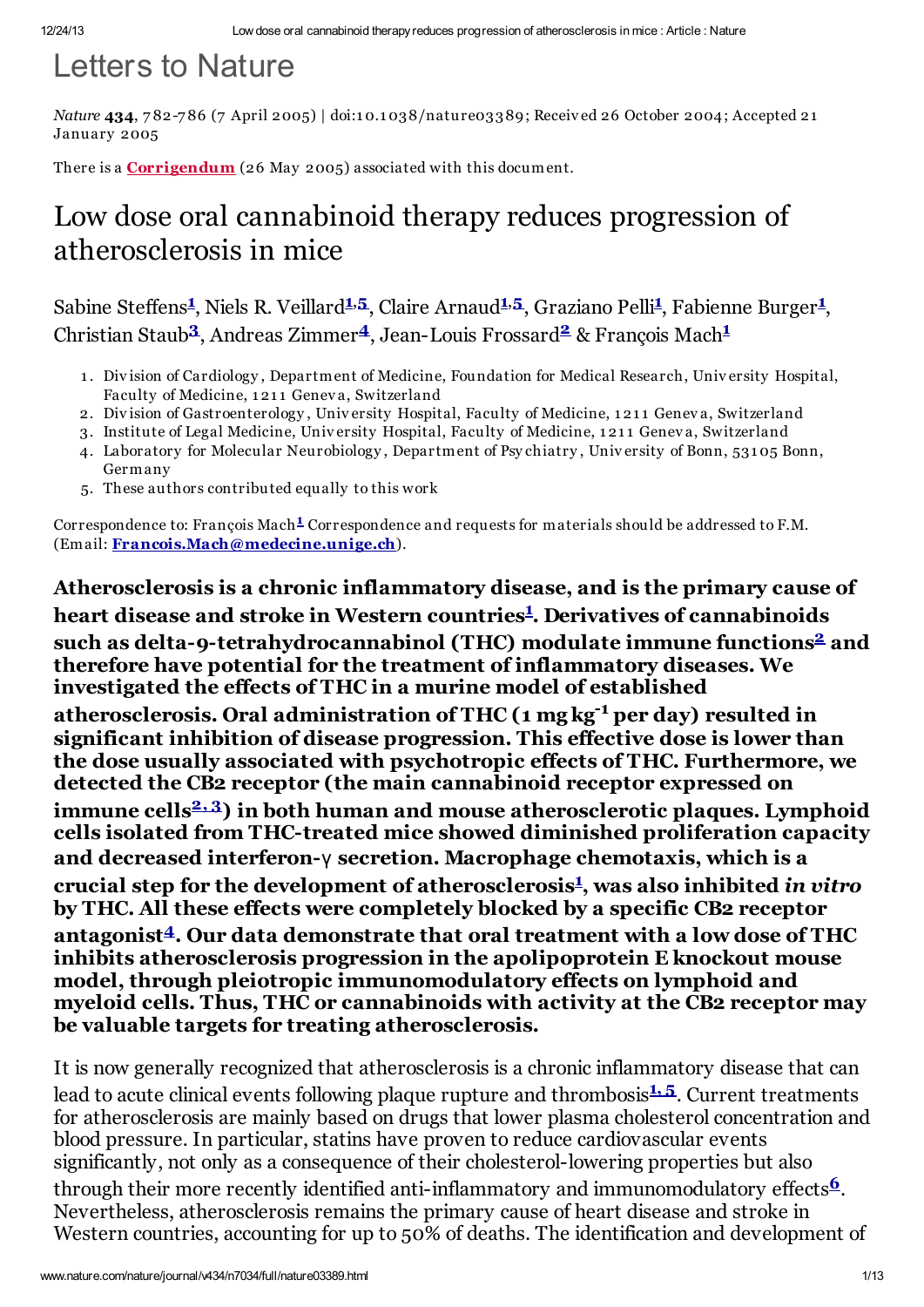# Letters to Nature

*Nature* 434, 782-786 (7 April 2005) | doi:10.1038/nature03389; Received 26 October 2004; Accepted 21 January 2005

There is a **[Corrigendum](http://www.nature.com/uidfinder/10.1038/nature03655)** (26 May 2005) associated with this document.

# Low dose oral cannabinoid therapy reduces progression of atherosclerosis in mice

Sabine Steffens<sup>[1](#page-0-0)</sup>, Niels R. Veillard<sup>1,[5](#page-0-1)</sup>, Claire Arnaud<sup>1,5</sup>, Graziano Pelli<sup>1</sup>, Fabienne Burger<sup>1</sup>, Christian Staub<sup>[3](#page-0-2)</sup>, Andreas Zimmer<sup>[4](#page-0-3)</sup>, Jean-Louis Frossard<sup>[2](#page-0-4)</sup> & François Mach<sup>[1](#page-0-0)</sup>

- <span id="page-0-0"></span>1 . Division of Cardiology , Department of Medicine, Foundation for Medical Research, University Hospital, Faculty of Medicine, 1211 Geneva, Switzerland
- <span id="page-0-4"></span>2. Division of Gastroenterology, University Hospital, Faculty of Medicine, 1211 Geneva, Switzerland
- <span id="page-0-2"></span>3. Institute of Legal Medicine, University Hospital, Faculty of Medicine, 1 21 1 Genev a, Switzerland
- <span id="page-0-3"></span>4. Laboratory for Molecular Neurobiology , Department of Psy chiatry , University of Bonn, 531 05 Bonn, Germany
- <span id="page-0-1"></span>5. These authors contributed equally to this work

Correspondence to: François Mach<sup>[1](#page-0-0)</sup> Correspondence and requests for materials should be addressed to F.M. (Email: [Francois.Mach@medecine.unige.ch](mailto:Francois.Mach@medecine.unige.ch)).

Atherosclerosis is a chronic inflammatory disease, and is the primary cause of heart disease and stroke in Western countries<sup>[1](#page-7-0)</sup>. Derivatives of cannabinoids such as delta-9-tetrahydrocannabinol (THC) modulate immune functions<sup>[2](#page-7-1)</sup> and therefore have potential for the treatment of inflammatory diseases. We investigated the effects of THC in a murine model of established atherosclerosis. Oral administration of THC (1 mg kg<sup>-1</sup> per day) resulted in significant inhibition of disease progression. This effective dose is lower than the dose usually associated with psychotropic effects of THC. Furthermore, we detected the CB2 receptor (the main cannabinoid receptor expressed on immune cells<sup>[2,](#page-7-1)[3](#page-7-2)</sup>) in both human and mouse atherosclerotic plaques. Lymphoid cells isolated from THC-treated mice showed diminished proliferation capacity and decreased interferon-γ secretion. Macrophage chemotaxis, which is a crucial step for the development of atherosclerosis [1](#page-7-0) , was also inhibited *in vitro* by THC. All these effects were completely blocked by a specific CB2 receptor antagonist<sup>[4](#page-8-0)</sup>. Our data demonstrate that oral treatment with a low dose of THC inhibits atherosclerosis progression in the apolipoprotein E knockout mouse model, through pleiotropic immunomodulatory effects on lymphoid and myeloid cells. Thus, THC or cannabinoids with activity at the CB2 receptor may be valuable targets for treating atherosclerosis.

It is now generally recognized that atherosclerosis is a chronic inflammatory disease that can lead to acute clinical events following plaque rupture and thrombosis 1.[5](#page-8-1). Current treatments for atherosclerosis are mainly based on drugs that lower plasma cholesterol concentration and blood pressure. In particular, statins have proven to reduce cardiovascular events significantly, not only as a consequence of their cholesterol-lowering properties but also through their more recently identified anti-inflammatory and immunomodulatory effects $\frac{6}{5}$  $\frac{6}{5}$  $\frac{6}{5}$ . Nevertheless, atherosclerosis remains the primary cause of heart disease and stroke in Western countries, accounting for up to 50% of deaths. The identification and development of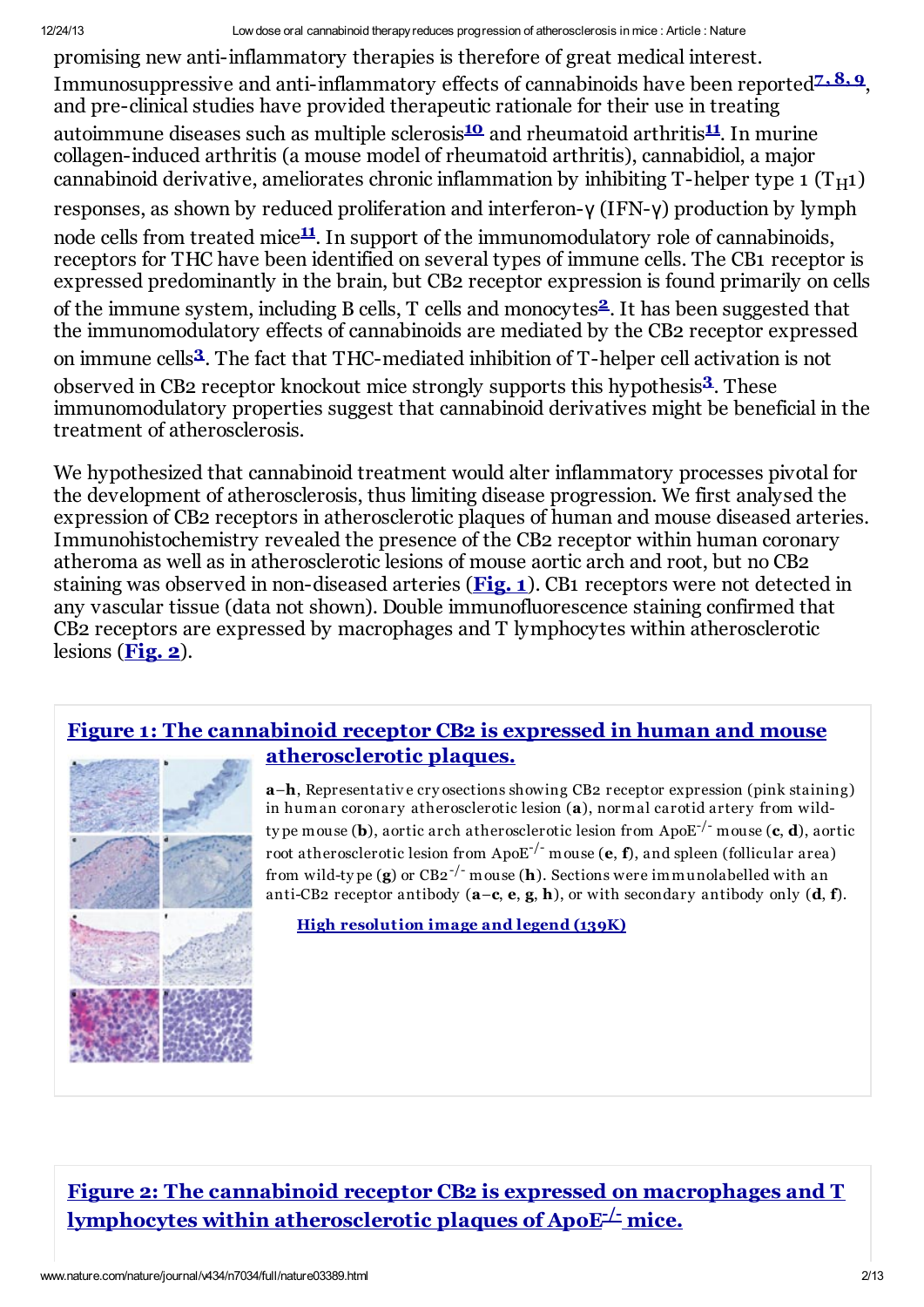promising new anti-inflammatory therapies is therefore of great medical interest. Immunosuppressive and anti-inflammatory effects of cannabinoids have been reported<sup>[7,](#page-8-3)[8,](#page-8-4)[9](#page-8-5)</sup>, and pre-clinical studies have provided therapeutic rationale for their use in treating autoimmune diseases such as multiple sclerosis<sup>[10](#page-8-6)</sup> and rheumatoid arthritis<sup>[11](#page-8-7)</sup>. In murine collagen-induced arthritis (a mouse model of rheumatoid arthritis), cannabidiol, a major cannabinoid derivative, ameliorates chronic inflammation by inhibiting T-helper type 1  $(T_H1)$ responses, as shown by reduced proliferation and interferon-γ (IFN-γ) production by lymph node cells from treated mice<sup>[11](#page-8-7)</sup>. In support of the immunomodulatory role of cannabinoids, receptors for THC have been identified on several types of immune cells. The CB1 receptor is expressed predominantly in the brain, but CB2 receptor expression is found primarily on cells of the immune system, including B cells, T cells and monocytes<sup>[2](#page-7-1)</sup>. It has been suggested that the immunomodulatory effects of cannabinoids are mediated by the CB2 receptor expressed on immune cells<sup>[3](#page-7-2)</sup>. The fact that THC-mediated inhibition of T-helper cell activation is not observed in CB2 receptor knockout mice strongly supports this hypothesis<sup>[3](#page-7-2)</sup>. These immunomodulatory properties suggest that cannabinoid derivatives might be beneficial in the treatment of atherosclerosis.

We hypothesized that cannabinoid treatment would alter inflammatory processes pivotal for the development of atherosclerosis, thus limiting disease progression. We first analysed the expression of CB2 receptors in atherosclerotic plaques of human and mouse diseased arteries. Immunohistochemistry revealed the presence of the CB2 receptor within human coronary atheroma as well as in atherosclerotic lesions of mouse aortic arch and root, but no CB2 staining was observed in non-diseased arteries ([Fig.](#page-1-0) 1). CB1 receptors were not detected in any vascular tissue (data not shown). Double immunofluorescence staining confirmed that CB2 receptors are expressed by macrophages and T lymphocytes within atherosclerotic lesions  $(Fig. 2)$  $(Fig. 2)$  $(Fig. 2)$ .

#### <span id="page-1-0"></span>Figure 1: The cannabinoid receptor CB2 is expressed in human and mouse [atherosclerotic](http://www.nature.com/nature/journal/v434/n7034/fig_tab/nature03389_F1.html) plaques.



a–h, Representative cry osections showing CB2 receptor expression (pink staining) in human coronary atherosclerotic lesion (a), normal carotid artery from wildty pe mouse (**b**), aortic arch atherosclerotic lesion from ApoE<sup>-/-</sup> mouse (**c, d**), aortic root atherosclerotic lesion from ApoE<sup>-/-</sup> mouse (**e**, **f**), and spleen (follicular area) from wild-type (**g**) or CB2<sup>-/-</sup> mouse (**h**). Sections were immunolabelled with an anti-CB2 receptor antibody  $(a-c, e, g, h)$ , or with secondary antibody only  $(d, f)$ .

High [resolution](http://www.nature.com/nature/journal/v434/n7034/fig_tab/nature03389_F1.html) image and legend (139K)

# <span id="page-1-1"></span>Figure 2: The cannabinoid receptor CB2 is expressed on macrophages and T  ${\bf lymb}$  hocytes within [atherosclerotic](http://www.nature.com/nature/journal/v434/n7034/fig_tab/nature03389_F2.html) plaques of ApoE<sup>- $\pm$ </sup> mice.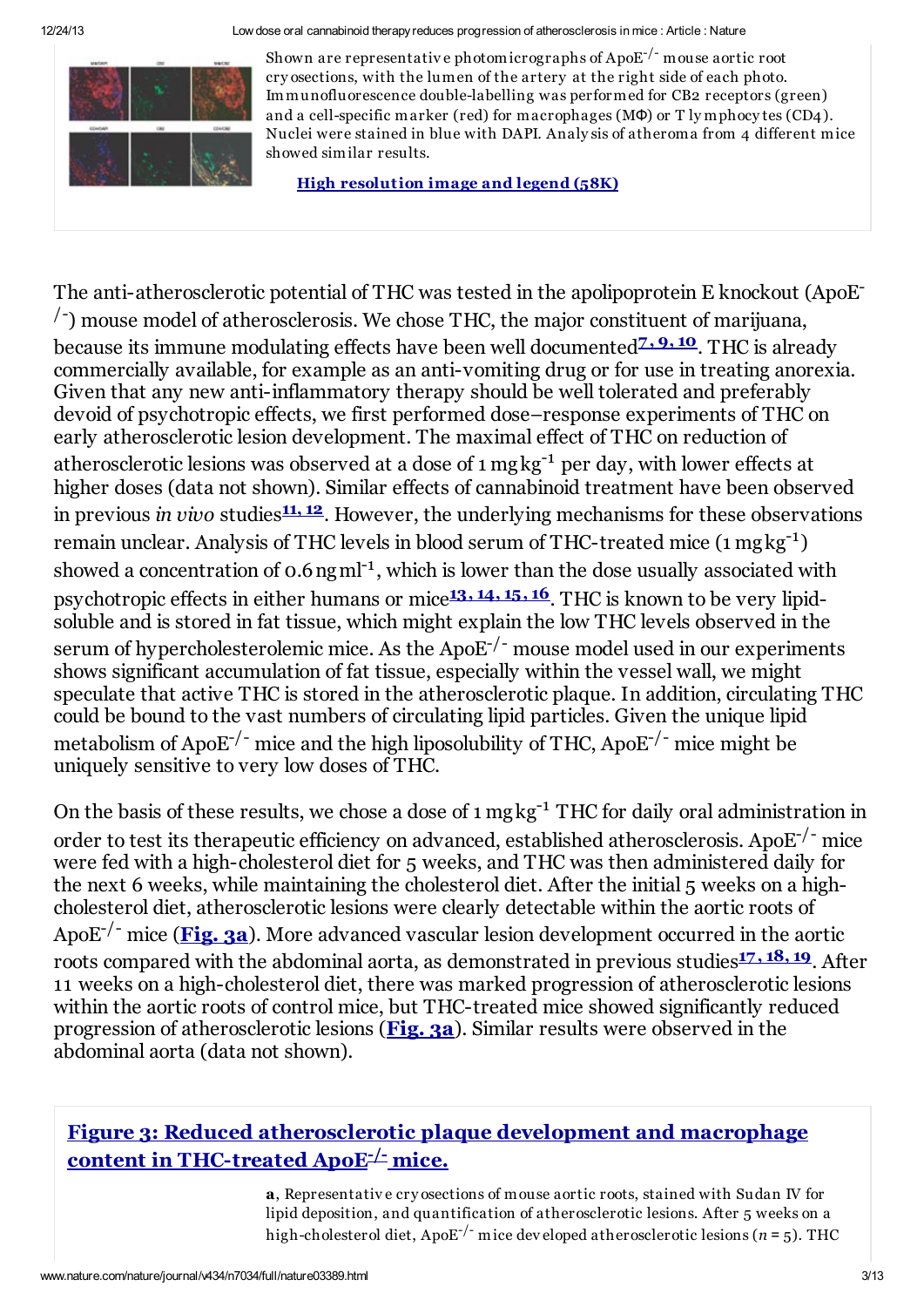

Shown are representative photomicrographs of Apo $\mathrm{E}^{-/-}$  mouse aortic root cry osections, with the lumen of the artery at the right side of each photo. Immunofluorescence double-labelling was performed for CB2 receptors (green) and a cell-specific marker (red) for macrophages (MΦ) or T ly mphocy tes (CD4). Nuclei were stained in blue with DAPI. Analy sis of atheroma from 4 different mice showed similar results.

High [resolution](http://www.nature.com/nature/journal/v434/n7034/fig_tab/nature03389_F2.html) image and legend (58K)

The anti-atherosclerotic potential of THC was tested in the apolipoprotein E knockout (ApoE<sup>-</sup>  $\beta$ ) mouse model of atherosclerosis. We chose THC, the major constituent of marijuana, because its immune modulating effects have been well documented<del><sup>[7,](#page-8-3) [9,](#page-8-5) [10](#page-8-6)</del>. THC is already</del></sup> commercially available, for example as an anti-vomiting drug or for use in treating anorexia. Given that any new anti-inflammatory therapy should be well tolerated and preferably devoid of psychotropic effects, we first performed dose–response experiments of THC on early atherosclerotic lesion development. The maximal effect of THC on reduction of atherosclerotic lesions was observed at a dose of 1 mgkg<sup>-1</sup> per day, with lower effects at higher doses (data not shown). Similar effects of cannabinoid treatment have been observed in previous *in vivo* studies<sup>[11,](#page-8-7) [12](#page-8-8)</sup>. However, the underlying mechanisms for these observations remain unclear. Analysis of THC levels in blood serum of THC-treated mice (1 mgkg<sup>-1</sup>) showed a concentration of 0.6 ng m<sup>-1</sup>, which is lower than the dose usually associated with psychotropic effects in either humans or mice<sup>[13,](#page-8-9) [14,](#page-8-10) [15,](#page-8-11) [16](#page-8-12)</sup>. THC is known to be very lipidsoluble and is stored in fat tissue, which might explain the low THC levels observed in the serum of hypercholesterolemic mice. As the  $ApoE^{-/-}$  mouse model used in our experiments shows significant accumulation of fat tissue, especially within the vessel wall, we might speculate that active THC is stored in the atherosclerotic plaque. In addition, circulating THC could be bound to the vast numbers of circulating lipid particles. Given the unique lipid metabolism of ApoE<sup>-/-</sup> mice and the high liposolubility of THC, ApoE<sup>-/-</sup> mice might be uniquely sensitive to very low doses of THC.

On the basis of these results, we chose a dose of 1 mgkg<sup>-1</sup> THC for daily oral administration in order to test its therapeutic efficiency on advanced, established atherosclerosis. ApoE<sup>-/-</sup> mice were fed with a high-cholesterol diet for 5 weeks, and THC was then administered daily for the next 6 weeks, while maintaining the cholesterol diet. After the initial 5 weeks on a highcholesterol diet, atherosclerotic lesions were clearly detectable within the aortic roots of ApoE<sup>-/-</sup> mice ([Fig.](#page-2-0) 3a). More advanced vascular lesion development occurred in the aortic roots compared with the abdominal aorta, as demonstrated in previous studies<sup>[17,](#page-8-13) [18,](#page-8-14) [19](#page-8-15)</sup>. After 11 weeks on a high-cholesterol diet, there was marked progression of atherosclerotic lesions within the aortic roots of control mice, but THC-treated mice showed significantly reduced progression of atherosclerotic lesions ([Fig.](#page-2-0) 3a). Similar results were observed in the abdominal aorta (data not shown).

# <span id="page-2-0"></span>Figure 3: Reduced [atherosclerotic](http://www.nature.com/nature/journal/v434/n7034/fig_tab/nature03389_F3.html) plaque development and macrophage content in THC-treated ApoE<sup>-L-</sup> mice.

a, Representative cry osections of mouse aortic roots, stained with Sudan IV for lipid deposition, and quantification of atherosclerotic lesions. After 5 weeks on a high-cholesterol diet, ApoE -/- mice developed atherosclerotic lesions (*n* = 5). THC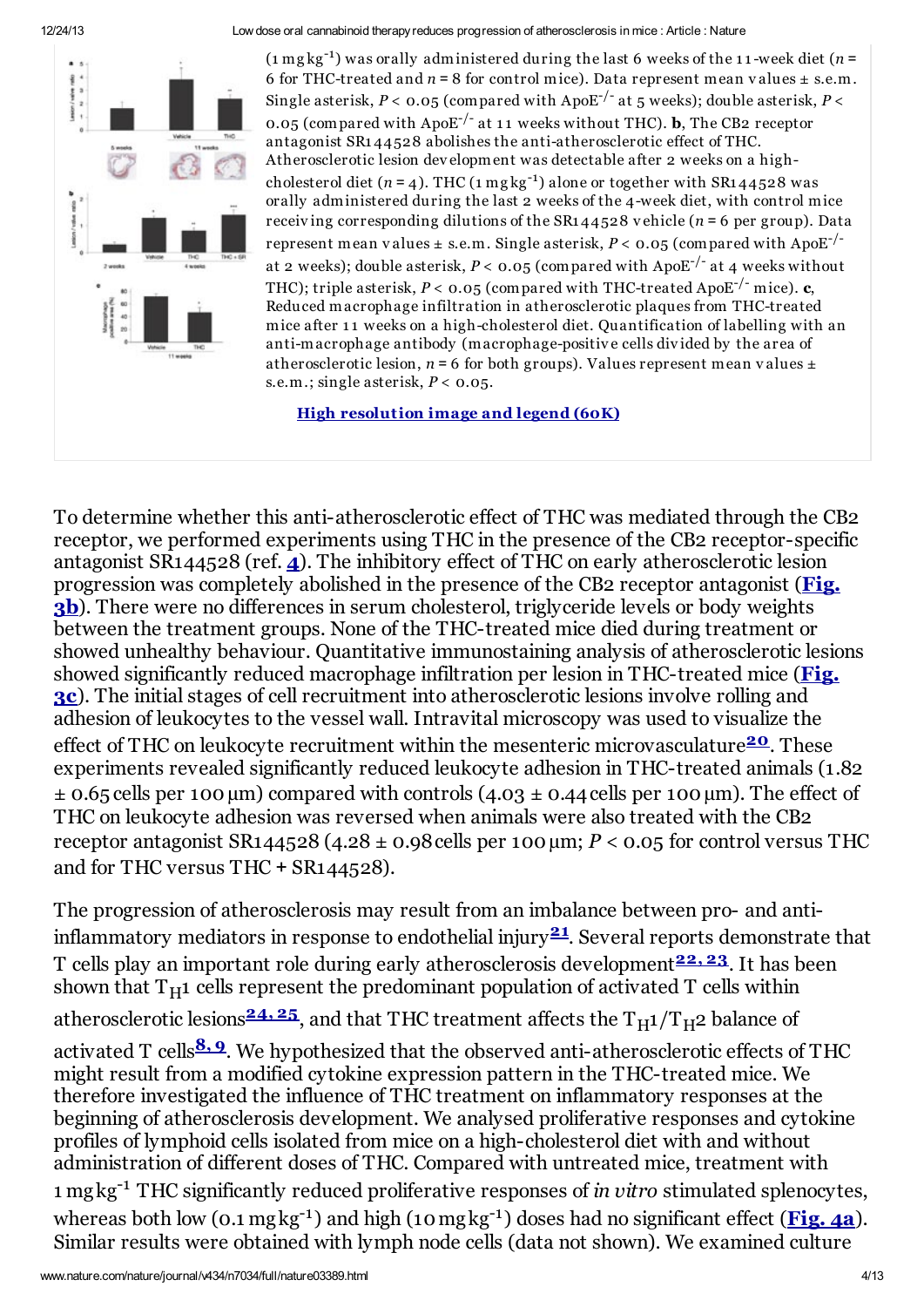

 $(n = 1)$  was orally administered during the last 6 weeks of the 11-week diet  $(n = 1)$ 6 for THC-treated and  $n = 8$  for control mice). Data represent mean values  $\pm$  s.e.m. Single asterisk,  $P <$  0.05 (compared with ApoE<sup>-/-</sup> at 5 weeks); double asterisk,  $P <$ 0.05 (compared with ApoE<sup>-/-</sup> at 11 weeks without THC). **b**, The CB2 receptor antagonist SR1 44528 abolishes the anti-atherosclerotic effect of THC. Atherosclerotic lesion development was detectable after 2 weeks on a highcholesterol diet  $(n = 4)$ . THC  $(1 \text{ mgkg}^{-1})$  alone or together with SR144528 was orally administered during the last 2 weeks of the 4-week diet, with control mice receiving corresponding dilutions of the SR1  $44528$  vehicle ( $n = 6$  per group). Data represent mean values  $\pm$  s.e.m. Single asterisk, *P* < 0.05 (compared with ApoE<sup>-/-</sup> at 2 weeks); double asterisk, *P* < **0.05** (compared with ApoE<sup>-/-</sup> at 4 weeks without THC); triple asterisk, *P* < **0.05** (compared with THC-treated ApoE<sup>-/-</sup> mice). **c**, Reduced macrophage infiltration in atherosclerotic plaques from THC-treated mice after 11 weeks on a high-cholesterol diet. Quantification of labelling with an anti-macrophage antibody (macrophage-positive cells divided by the area of atherosclerotic lesion,  $n = 6$  for both groups). Values represent mean values  $\pm$ s.e.m.; single asterisk, *P* < 0.05.

High [resolution](http://www.nature.com/nature/journal/v434/n7034/fig_tab/nature03389_F3.html) image and legend (60K)

To determine whether this anti-atherosclerotic effect of THC was mediated through the CB2 receptor, we performed experiments using THC in the presence of the CB2 receptor-specific antagonist SR1[4](#page-8-0)4528 (ref.  $\hat{A}$ ). The inhibitory effect of THC on early atherosclerotic lesion [progression](#page-2-0) was completely abolished in the presence of the CB2 receptor antagonist (Fig. **3b**). There were no differences in serum cholesterol, triglyceride levels or body weights between the treatment groups. None of the THC-treated mice died during treatment or showed unhealthy behaviour. Quantitative immunostaining analysis of atherosclerotic lesions showed significantly reduced macrophage infiltration per lesion in THC-treated mice (Fig. 3c). The initial stages of cell recruitment into [atherosclerotic](#page-2-0) lesions involve rolling and adhesion of leukocytes to the vessel wall. Intravital microscopy was used to visualize the effect of THC on leukocyte recruitment within the mesenteric microvasculature<sup>[20](#page-9-0)</sup>. These experiments revealed significantly reduced leukocyte adhesion in THC-treated animals (1.82  $\pm$  0.65 cells per 100 µm) compared with controls (4.03  $\pm$  0.44 cells per 100 µm). The effect of THC on leukocyte adhesion was reversed when animals were also treated with the CB2 receptor antagonist SR144528 (4.28  $\pm$  0.98 cells per 100  $\mu$ m; *P* < 0.05 for control versus THC and for THC versus THC + SR144528).

The progression of atherosclerosis may result from an imbalance between pro- and antiinflammatory mediators in response to endothelial injury $^{21}$  $^{21}$  $^{21}$ . Several reports demonstrate that T cells play an important role during early atherosclerosis development<sup>[22,](#page-9-2)[23](#page-9-3)</sup>. It has been shown that  $T_H1$  cells represent the predominant population of activated T cells within atherosclerotic lesions $^{\bf 24, \bf 25}$  $^{\bf 24, \bf 25}$  $^{\bf 24, \bf 25}$  $^{\bf 24, \bf 25}$  $^{\bf 24, \bf 25}$ , and that THC treatment affects the  $\rm T_H1/T_H2$  balance of activated T cells<mark>8.[9](#page-8-5)</mark>. We hypothesized that the observed anti-atherosclerotic effects of THC might result from a modified cytokine expression pattern in the THC-treated mice. We therefore investigated the influence of THC treatment on inflammatory responses at the beginning of atherosclerosis development. We analysed proliferative responses and cytokine profiles of lymphoid cells isolated from mice on a high-cholesterol diet with and without administration of different doses of THC. Compared with untreated mice, treatment with 1 mgkg -1 THC significantly reduced proliferative responses of *in vitro* stimulated splenocytes, whereas both low (0.1 mgkg<sup>-1</sup>) and high (10 mgkg<sup>-1</sup>) doses had no significant effect ([Fig.](#page-4-0) 4a). Similar results were obtained with lymph node cells (data not shown). We examined culture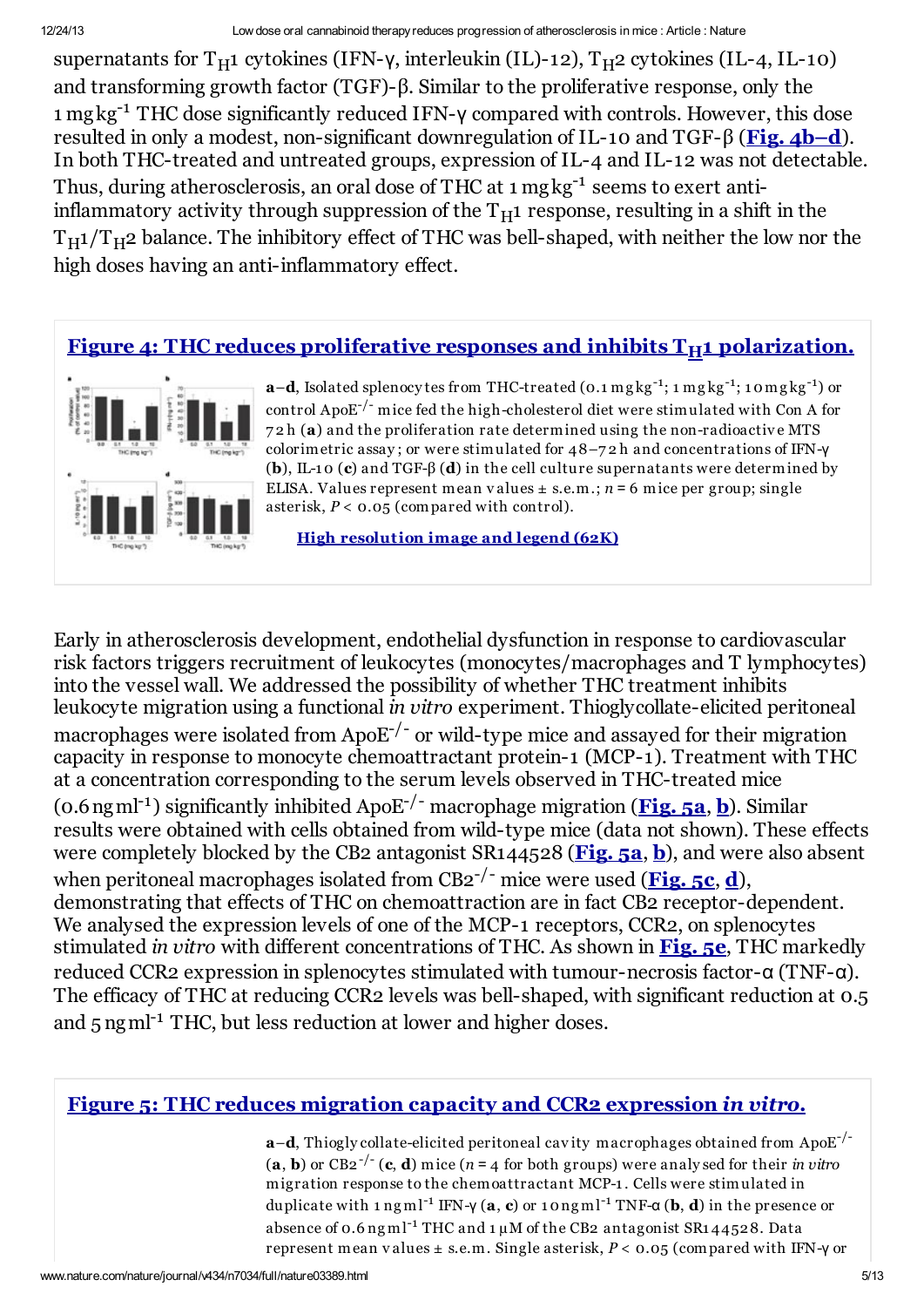supernatants for  $T_H1$  cytokines (IFN-γ, interleukin (IL)-12),  $T_H2$  cytokines (IL-4, IL-10) and transforming growth factor (TGF)-β. Similar to the proliferative response, only the 1 mg kg<sup>-1</sup> THC dose significantly reduced IFN-γ compared with controls. However, this dose resulted in only a modest, non-significant downregulation of IL-10 and TGF-β (Fig. [4b–d](#page-4-0)). In both THC-treated and untreated groups, expression of IL-4 and IL-12 was not detectable. Thus, during atherosclerosis, an oral dose of THC at 1 mgkg<sup>-1</sup> seems to exert antiinflammatory activity through suppression of the  $T_H1$  response, resulting in a shift in the  $T_H1/T_H2$  balance. The inhibitory effect of THC was bell-shaped, with neither the low nor the high doses having an anti-inflammatory effect.

# <span id="page-4-0"></span>Figure 4: THC reduces proliferative responses and inhibits  $T_H1$  [polarization.](http://www.nature.com/nature/journal/v434/n7034/fig_tab/nature03389_F4.html)



 $a-d$ , Isolated splenocy tes from THC-treated (0.1 mg kg<sup>-1</sup>; 1 mg kg<sup>-1</sup>; 10 mg kg<sup>-1</sup>) or control Apo $E^{-/-}$  mice fed the high-cholesterol diet were stimulated with Con A for 7 2 h (a) and the proliferation rate determined using the non-radioactive MTS colorimetric assay ; or were stimulated for 48–7 2 h and concentrations of IFN-γ (b), IL-10 (c) and TGF- $\beta$  (d) in the cell culture supernatants were determined by ELISA. Values represent mean values  $\pm$  s.e.m.;  $n = 6$  mice per group; single asterisk, *P* < 0.05 (compared with control).

High [resolution](http://www.nature.com/nature/journal/v434/n7034/fig_tab/nature03389_F4.html) image and legend (62K)

Early in atherosclerosis development, endothelial dysfunction in response to cardiovascular risk factors triggers recruitment of leukocytes (monocytes/macrophages and T lymphocytes) into the vessel wall. We addressed the possibility of whether THC treatment inhibits leukocyte migration using a functional *in vitro* experiment. Thioglycollate-elicited peritoneal macrophages were isolated from Apo $E^{-/-}$  or wild-type mice and assayed for their migration capacity in response to monocyte chemoattractant protein-1 (MCP-1). Treatment with THC at a concentration corresponding to the serum levels observed in THC-treated mice (0.6 ng ml<sup>-1</sup>) significantly inhi[b](#page-4-1)ited ApoE<sup>-/-</sup> macrophage migration (**[Fig.](#page-4-1) 5a, b**). Similar results were obtained with cells obtained from wild-type mice (data not shown). These effects were completely [b](#page-4-1)locked by the CB2 antagonist  $SR144528$  ([Fig.](#page-4-1) 5a, b), and were also absent when peritoneal macrophages isolated from CB2<sup>-/-</sup> mice were used ([Fig.](#page-4-1) 5c, [d](#page-4-1)), demonstrating that effects of THC on chemoattraction are in fact CB2 receptor-dependent. We analysed the expression levels of one of the MCP-1 receptors, CCR2, on splenocytes stimulated *in vitro* with different concentrations of THC. As shown in [Fig.](#page-4-1) 5e, THC markedly reduced CCR2 expression in splenocytes stimulated with tumour-necrosis factor-α (TNF-α). The efficacy of THC at reducing CCR2 levels was bell-shaped, with significant reduction at 0.5 and 5 ng ml<sup>-1</sup> THC, but less reduction at lower and higher doses.

#### <span id="page-4-1"></span>Figure 5: THC reduces migration capacity and CCR2 [expression](http://www.nature.com/nature/journal/v434/n7034/fig_tab/nature03389_F5.html) *in vitro*.

**a-d**, Thiogly collate-elicited peritoneal cavity macrophages obtained from ApoE<sup>-/-</sup>  $(a, b)$  or CB2<sup>-/-</sup> (c, d) mice ( $n = 4$  for both groups) were analy sed for their *in vitro* migration response to the chemoattractant MCP-1 . Cells were stimulated in duplicate with 1 ng ml<sup>-1</sup> IFN-γ (**a**, **c**) or 10 ng ml<sup>-1</sup> TNF-**α** (**b**, **d**) in the presence or absence of  $0.6$  ng ml<sup>-1</sup> THC and  $1 \mu$ M of the CB2 antagonist SR144528. Data represent mean v alues ± s.e.m. Single asterisk, *P* < 0.05 (compared with IFN-γ or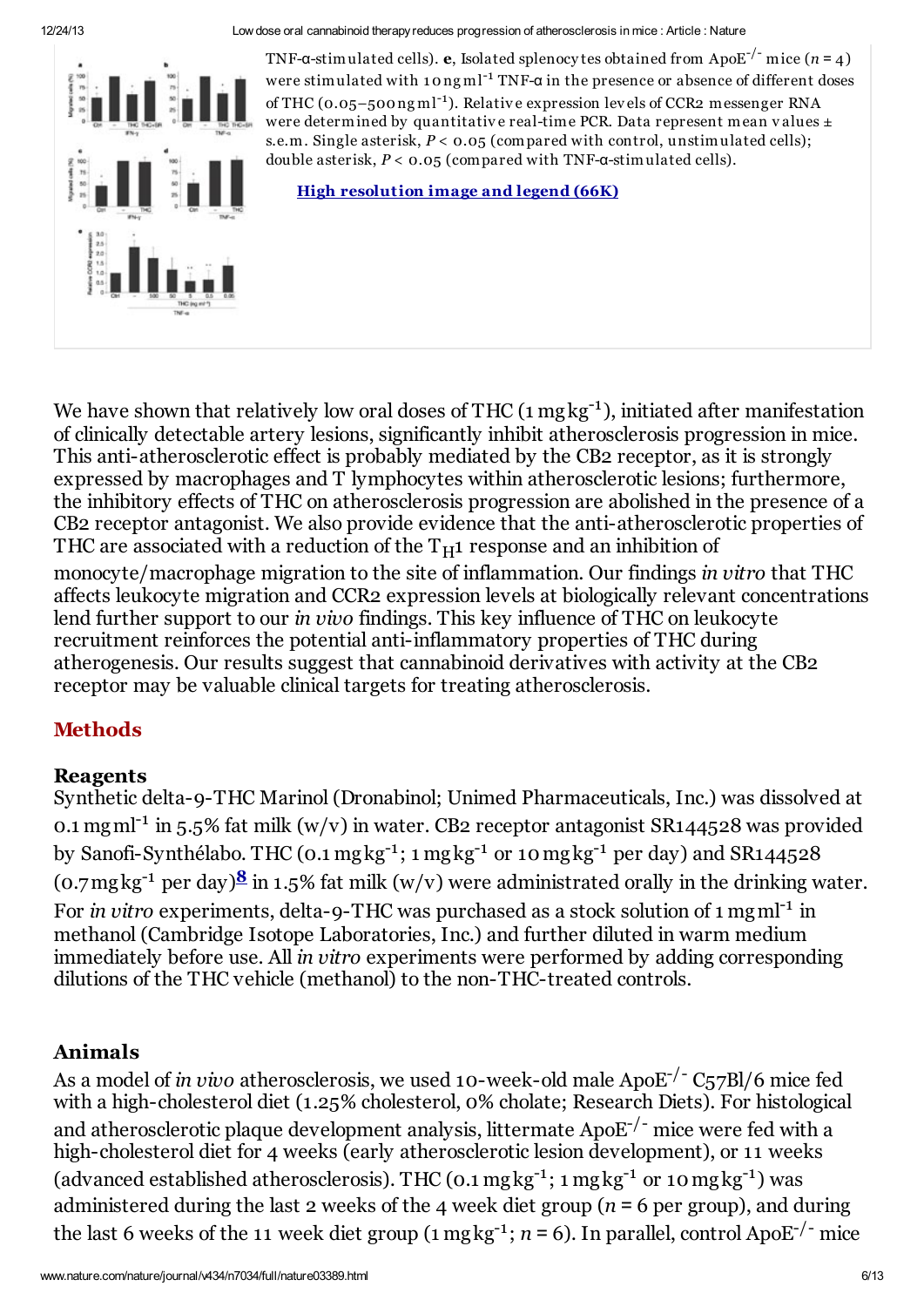

TNF-a-stimulated cells). **e**, Isolated splenocy tes obtained from ApoE<sup>-/-</sup> mice ( $n = 4$ ) were stimulated with 10ng ml<sup>-1</sup> TNF-α in the presence or absence of different doses of THC (0.05-500ngml<sup>-1</sup>). Relative expression levels of CCR2 messenger RNA were determined by quantitative real-time PCR. Data represent mean values  $\pm$ s.e.m. Single asterisk, *P* < 0.05 (compared with control, unstimulated cells); double asterisk, *P* < 0.05 (compared with TNF-α-stimulated cells).

High [resolution](http://www.nature.com/nature/journal/v434/n7034/fig_tab/nature03389_F5.html) image and legend (66K)

We have shown that relatively low oral doses of THC  $(1 \text{ mgkg}^{-1})$ , initiated after manifestation of clinically detectable artery lesions, significantly inhibit atherosclerosis progression in mice. This anti-atherosclerotic effect is probably mediated by the CB2 receptor, as it is strongly expressed by macrophages and T lymphocytes within atherosclerotic lesions; furthermore, the inhibitory effects of THC on atherosclerosis progression are abolished in the presence of a CB2 receptor antagonist. We also provide evidence that the anti-atherosclerotic properties of THC are associated with a reduction of the  $T_H1$  response and an inhibition of

monocyte/macrophage migration to the site of inflammation. Our findings *in vitro* that THC affects leukocyte migration and CCR2 expression levels at biologically relevant concentrations lend further support to our *in vivo* findings. This key influence of THC on leukocyte recruitment reinforces the potential anti-inflammatory properties of THC during atherogenesis. Our results suggest that cannabinoid derivatives with activity at the CB2 receptor may be valuable clinical targets for treating atherosclerosis.

# **Methods**

#### Reagents

Synthetic delta-9-THC Marinol (Dronabinol; Unimed Pharmaceuticals, Inc.) was dissolved at 0.1 mg ml<sup>-1</sup> in 5.5% fat milk  $(w/v)$  in water. CB2 receptor antagonist SR144528 was provided by Sanofi-Synthélabo. THC (0.1 mgkg<sup>-1</sup>; 1 mgkg<sup>-1</sup> or 10 mgkg<sup>-1</sup> per day) and SR144528 (0.7mgkg<sup>-1</sup> per day) $\frac{8}{5}$  $\frac{8}{5}$  $\frac{8}{5}$  in 1.5% fat milk (w/v) were administrated orally in the drinking water. For *in vitro* experiments, delta-9-THC was purchased as a stock solution of 1 mg ml<sup>-1</sup> in methanol (Cambridge Isotope Laboratories, Inc.) and further diluted in warm medium immediately before use. All *in vitro* experiments were performed by adding corresponding dilutions of the THC vehicle (methanol) to the non-THC-treated controls.

# Animals

As a model of *in vivo* atherosclerosis, we used 10-week-old male ApoE -/- C57Bl/6 mice fed with a high-cholesterol diet (1.25% cholesterol, 0% cholate; Research Diets). For histological and atherosclerotic plaque development analysis, littermate Apo $\mathrm{E}^{\text{-}/\text{-}}$  mice were fed with a high-cholesterol diet for 4 weeks (early atherosclerotic lesion development), or 11 weeks (advanced established atherosclerosis). THC (0.1  $mgkg^{-1}$ ; 1  $mgkg^{-1}$  or 10  $mgkg^{-1}$ ) was administered during the last 2 weeks of the 4 week diet group ( $n = 6$  per group), and during the last 6 weeks of the 11 week diet group (1 mgkg<sup>-1</sup>; *n* = 6). In parallel, control ApoE<sup>-/-</sup> mice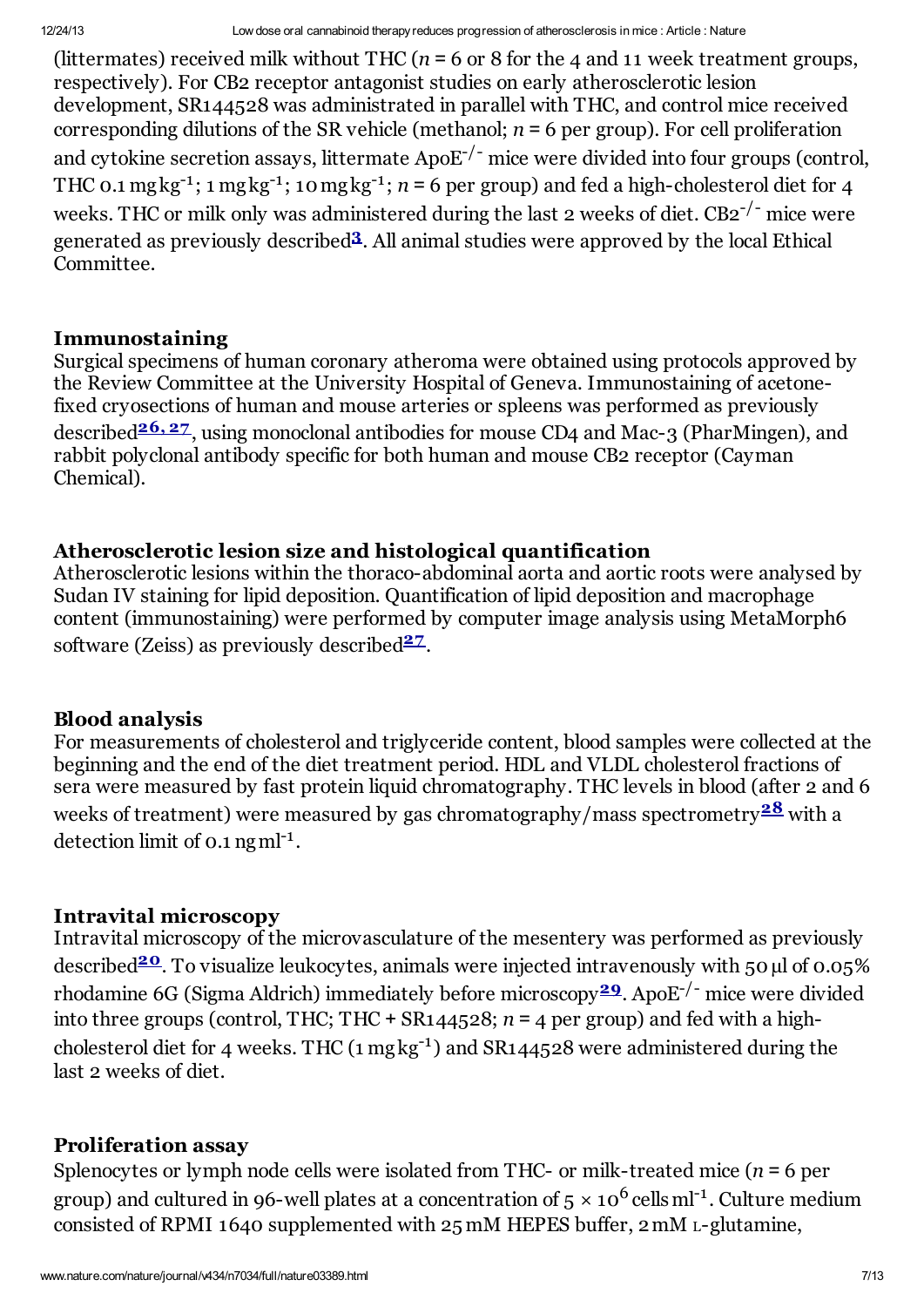(littermates) received milk without THC  $(n = 6 \text{ or } 8 \text{ for the } 4 \text{ and } 11 \text{ week treatment groups})$ respectively). For CB2 receptor antagonist studies on early atherosclerotic lesion development, SR144528 was administrated in parallel with THC, and control mice received corresponding dilutions of the SR vehicle (methanol;  $n = 6$  per group). For cell proliferation and cytokine secretion assays, littermate  $ApoE^{-/-}$  mice were divided into four groups (control, THC 0.1 mg kg<sup>-1</sup>; 1 mg kg<sup>-1</sup>; 10 mg kg<sup>-1</sup>;  $n = 6$  per group) and fed a high-cholesterol diet for 4 weeks. THC or milk only was administered during the last 2 weeks of diet.  $\text{CB2}^{-/-}$  mice were generated as previously described<sup>[3](#page-7-2)</sup>. All animal studies were approved by the local Ethical Committee.

#### Immunostaining

Surgical specimens of human coronary atheroma were obtained using protocols approved by the Review Committee at the University Hospital of Geneva. Immunostaining of acetonefixed cryosections of human and mouse arteries or spleens was performed as previously described<sup>[26,](#page-9-6)[27](#page-9-7)</sup>, using monoclonal antibodies for mouse CD4 and Mac-3 (PharMingen), and rabbit polyclonal antibody specific for both human and mouse CB2 receptor (Cayman Chemical).

#### Atherosclerotic lesion size and histological quantification

Atherosclerotic lesions within the thoraco-abdominal aorta and aortic roots were analysed by Sudan IV staining for lipid deposition. Quantification of lipid deposition and macrophage content (immunostaining) were performed by computer image analysis using MetaMorph6 software (Zeiss) as previously described<sup>[27](#page-9-7)</sup>.

#### Blood analysis

For measurements of cholesterol and triglyceride content, blood samples were collected at the beginning and the end of the diet treatment period. HDL and VLDL cholesterol fractions of sera were measured by fast protein liquid chromatography. THC levels in blood (after 2 and 6 weeks of treatment) were measured by gas chromatography/mass spectrometry $^{\underline{\bf 28}}$  $^{\underline{\bf 28}}$  $^{\underline{\bf 28}}$  with a detection limit of  $0.1$  ng ml<sup>-1</sup>.

#### Intravital microscopy

Intravital microscopy of the microvasculature of the mesentery was performed as previously described<sup>[20](#page-9-0)</sup>. To visualize leukocytes, animals were injected intravenously with 50 µl of 0.05% rhodamine 6G (Sigma Aldrich) immediately before microscopy<sup>[29](#page-9-9)</sup>. ApoE<sup>-/-</sup> mice were divided into three groups (control, THC; THC  $+$  SR144528;  $n = 4$  per group) and fed with a highcholesterol diet for 4 weeks. THC  $(1 \text{ mgkg}^{-1})$  and  $\text{SR144528}$  were administered during the last 2 weeks of diet.

#### Proliferation assay

Splenocytes or lymph node cells were isolated from THC- or milk-treated mice (*n* = 6 per group) and cultured in 96-well plates at a concentration of 5  $\times$  10<sup>6</sup> cells ml<sup>-1</sup>. Culture medium consisted of RPMI 1640 supplemented with 25 mM HEPES buffer, 2mM <sup>L</sup>-glutamine,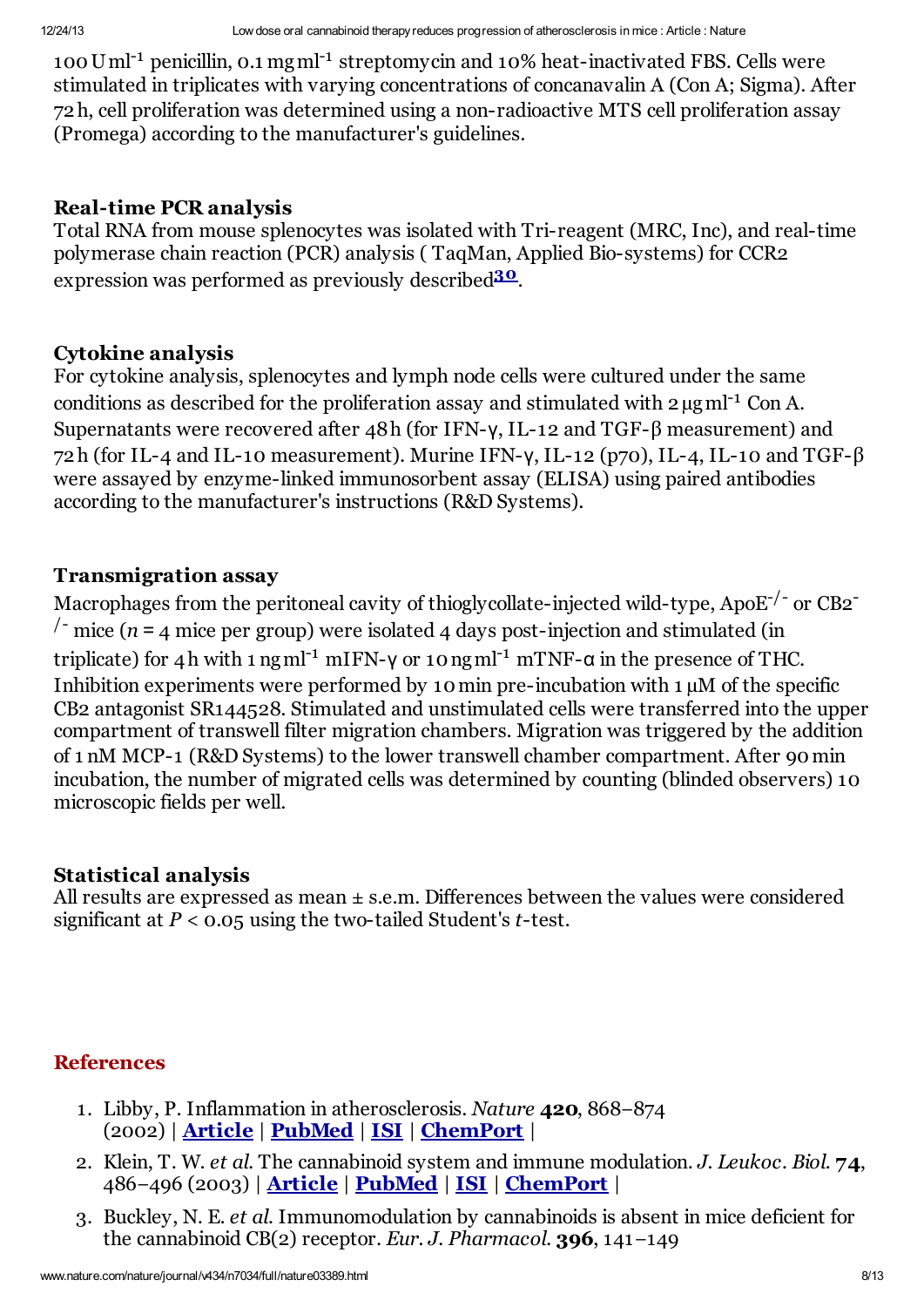100 Uml<sup>-1</sup> penicillin, 0.1 mgml<sup>-1</sup> streptomycin and 10% heat-inactivated FBS. Cells were stimulated in triplicates with varying concentrations of concanavalin A (Con A; Sigma). After 72h, cell proliferation was determined using a non-radioactive MTS cell proliferation assay (Promega) according to the manufacturer's guidelines.

#### Real-time PCR analysis

Total RNA from mouse splenocytes was isolated with Tri-reagent (MRC, Inc), and real-time polymerase chain reaction (PCR) analysis ( TaqMan, Applied Bio-systems) for CCR2 expression was performed as previously described<sup>[30](#page-9-10)</sup>.

#### Cytokine analysis

For cytokine analysis, splenocytes and lymph node cells were cultured under the same conditions as described for the proliferation assay and stimulated with  $2 \mu g$  ml<sup>-1</sup> Con A. Supernatants were recovered after 48h (for IFN-γ, IL-12 and TGF-β measurement) and 72h (for IL-4 and IL-10 measurement). Murine IFN- $\gamma$ , IL-12 (p70), IL-4, IL-10 and TGF- $\beta$ were assayed by enzyme-linked immunosorbent assay (ELISA) using paired antibodies according to the manufacturer's instructions (R&D Systems).

#### Transmigration assay

Macrophages from the peritoneal cavity of thiogly collate-injected wild-type, ApoE<sup>-/-</sup> or CB2<sup>-</sup>  $\frac{1}{2}$  mice (*n* = 4 mice per group) were isolated 4 days post-injection and stimulated (in triplicate) for 4h with 1 ng ml<sup>-1</sup> mIFN- $\gamma$  or 10 ng ml<sup>-1</sup> mTNF- $\alpha$  in the presence of THC. Inhibition experiments were performed by 10 min pre-incubation with 1  $\mu$ M of the specific CB2 antagonist SR144528. Stimulated and unstimulated cells were transferred into the upper compartment of transwell filter migration chambers. Migration was triggered by the addition of 1 nM MCP-1 (R&D Systems) to the lower transwell chamber compartment. After 90min incubation, the number of migrated cells was determined by counting (blinded observers) 10 microscopic fields per well.

#### Statistical analysis

All results are expressed as mean  $\pm$  s.e.m. Differences between the values were considered significant at *P* < 0.05 using the two-tailed Student's *t*-test.

# **References**

- <span id="page-7-0"></span>1. Libby, P. Inflammation in atherosclerosis. *Nature* 420, 868−874 (2002) | [Article](http://www.nature.com/doifinder/10.1038%2Fnature01323) | [PubMed](http://www.ncbi.nlm.nih.gov/entrez/query.fcgi?holding=npg&cmd=Retrieve&db=PubMed&list_uids=12490960&dopt=Abstract) | [ISI](http://links.isiglobalnet2.com/gateway/Gateway.cgi?&GWVersion=2&SrcAuth=Nature&SrcApp=Nature&DestLinkType=FullRecord&KeyUT=000179897300068&DestApp=WOS_CPL) | [ChemPort](http://chemport.cas.org/cgi-bin/sdcgi?APP=ftslink&action=reflink&origin=npg&version=1.0&coi=1:CAS:528:DC%2BD38XpsFygtb8%3D&pissn=0028-0836&pyear=2005&md5=40c17de7928d9f5ad9bf2a9e58c86e7e) |
- <span id="page-7-1"></span>2. Klein, T. W. *et al.* The cannabinoid system and immune modulation. *J. Leukoc. Biol.* 74, 486−496 (2003) | [Article](http://dx.doi.org/10.1189%2Fjlb.0303101) | [PubMed](http://www.ncbi.nlm.nih.gov/entrez/query.fcgi?holding=npg&cmd=Retrieve&db=PubMed&list_uids=12960289&dopt=Abstract) | [ISI](http://links.isiglobalnet2.com/gateway/Gateway.cgi?&GWVersion=2&SrcAuth=Nature&SrcApp=Nature&DestLinkType=FullRecord&KeyUT=000187392300003&DestApp=WOS_CPL) | [ChemPort](http://chemport.cas.org/cgi-bin/sdcgi?APP=ftslink&action=reflink&origin=npg&version=1.0&coi=1:CAS:528:DC%2BD3sXotlGktLo%3D&pissn=0028-0836&pyear=2005&md5=250147c2bc08e100c26d263c5ccd96a9) |
- <span id="page-7-2"></span>3. Buckley, N. E. *et al.* Immunomodulation by cannabinoids is absent in mice deficient for the cannabinoid CB(2) receptor. *Eur. J. Pharmacol.* 396, 141−149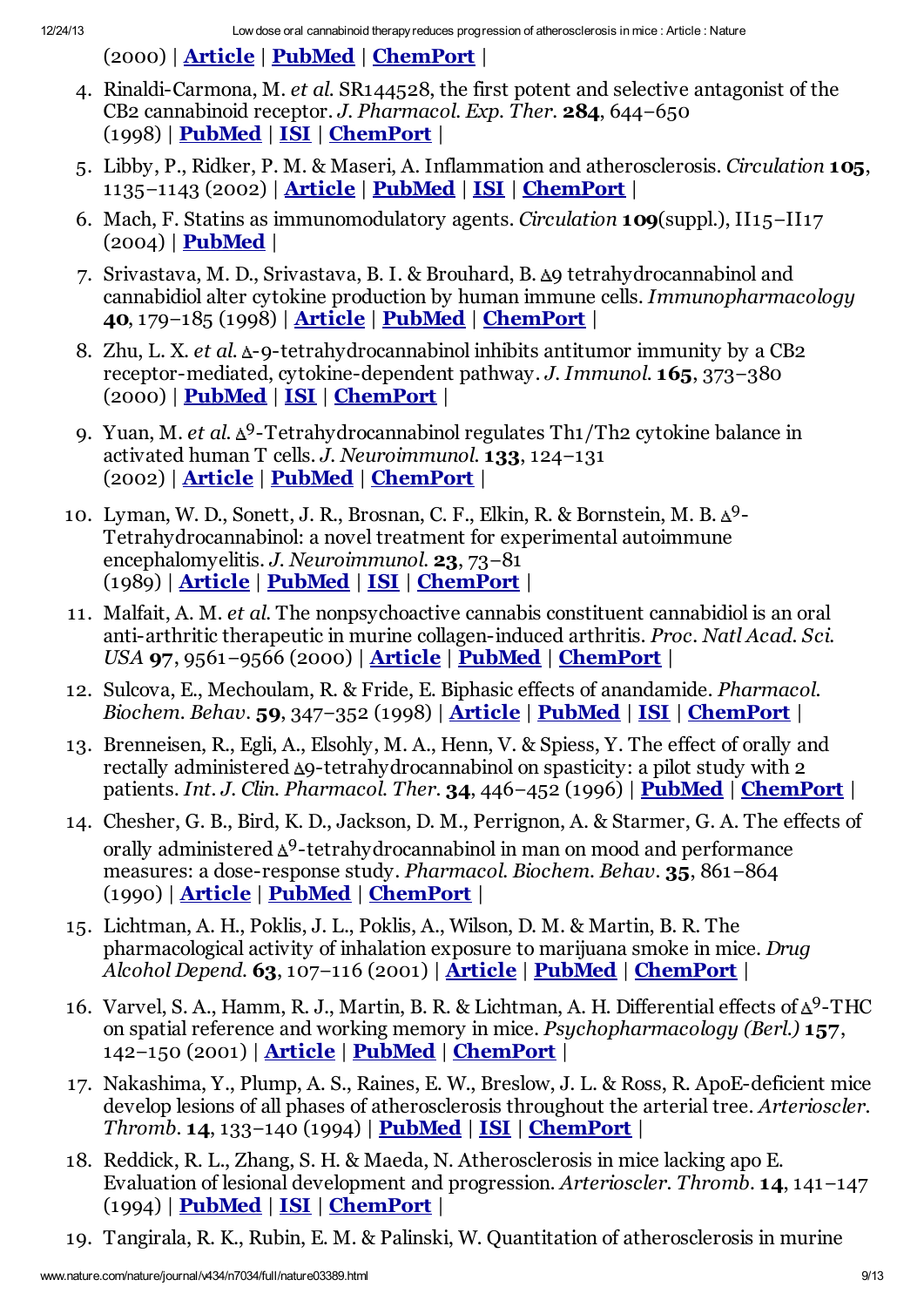<span id="page-8-0"></span>(2000) | [Article](http://dx.doi.org/10.1016%2FS0014-2999%2800%2900211-9) | [PubMed](http://www.ncbi.nlm.nih.gov/entrez/query.fcgi?holding=npg&cmd=Retrieve&db=PubMed&list_uids=10822068&dopt=Abstract) | [ChemPort](http://chemport.cas.org/cgi-bin/sdcgi?APP=ftslink&action=reflink&origin=npg&version=1.0&coi=1:CAS:528:DC%2BD3cXjsVGntro%3D&pissn=0028-0836&pyear=2005&md5=c0520187878c4e0325a4a75f28bc4c8a) |

- 4. Rinaldi-Carmona, M. *et al.* SR144528, the first potent and selective antagonist of the CB2 cannabinoid receptor. *J. Pharmacol. Exp. Ther.* 284, 644−650 (1998) | [PubMed](http://www.ncbi.nlm.nih.gov/entrez/query.fcgi?holding=npg&cmd=Retrieve&db=PubMed&list_uids=9454810&dopt=Abstract) | [ISI](http://links.isiglobalnet2.com/gateway/Gateway.cgi?&GWVersion=2&SrcAuth=Nature&SrcApp=Nature&DestLinkType=FullRecord&KeyUT=000071929100030&DestApp=WOS_CPL) | [ChemPort](http://chemport.cas.org/cgi-bin/sdcgi?APP=ftslink&action=reflink&origin=npg&version=1.0&coi=1:CAS:528:DyaK1cXhtFWkt78%3D&pissn=0028-0836&pyear=2005&md5=5c17cfee981cfed681a6981aa960ae8a) |
- <span id="page-8-1"></span>5. Libby, P., Ridker, P. M. & Maseri, A. Inflammation and atherosclerosis. *Circulation* 105, 1135−1143 (2002) | **[Article](http://dx.doi.org/10.1161%2Fhc0902.104353) | [PubMed](http://www.ncbi.nlm.nih.gov/entrez/query.fcgi?holding=npg&cmd=Retrieve&db=PubMed&list_uids=11877368&dopt=Abstract) | [ISI](http://links.isiglobalnet2.com/gateway/Gateway.cgi?&GWVersion=2&SrcAuth=Nature&SrcApp=Nature&DestLinkType=FullRecord&KeyUT=000174364100024&DestApp=WOS_CPL) | [ChemPort](http://chemport.cas.org/cgi-bin/sdcgi?APP=ftslink&action=reflink&origin=npg&version=1.0&coi=1:CAS:528:DC%2BD38XislWhu7k%3D&pissn=0028-0836&pyear=2005&md5=36af84180f8dca37e2d12acfe7b9eba4) |**
- <span id="page-8-2"></span>6. Mach, F. Statins as immunomodulatory agents. *Circulation* 109(suppl.), II15−II17  $(2004)$  | **[PubMed](http://www.ncbi.nlm.nih.gov/entrez/query.fcgi?holding=npg&cmd=Retrieve&db=PubMed&list_uids=15173058&dopt=Abstract)** |
- <span id="page-8-3"></span>7. Srivastava, M. D., Srivastava, B. I. & Brouhard, B.  $\Delta$ 9 tetrahydrocannabinol and cannabidiol alter cytokine production by human immune cells. *Immunopharmacology* 40, 179−185 (1998) | [Article](http://dx.doi.org/10.1016%2FS0162-3109%2898%2900041-1) | [PubMed](http://www.ncbi.nlm.nih.gov/entrez/query.fcgi?holding=npg&cmd=Retrieve&db=PubMed&list_uids=9858061&dopt=Abstract) | [ChemPort](http://chemport.cas.org/cgi-bin/sdcgi?APP=ftslink&action=reflink&origin=npg&version=1.0&coi=1:CAS:528:DyaK1cXntVyhu78%3D&pissn=0028-0836&pyear=2005&md5=c5ecdc0733ad9e990fd1d783730dcb7b) |
- <span id="page-8-4"></span>8. Zhu, L. X. *et al.* Δ-9-tetrahydrocannabinol inhibits antitumor immunity by a CB2 receptor-mediated, cytokine-dependent pathway. *J. Immunol.* 165, 373−380 (2000) | [PubMed](http://www.ncbi.nlm.nih.gov/entrez/query.fcgi?holding=npg&cmd=Retrieve&db=PubMed&list_uids=10861074&dopt=Abstract) | [ISI](http://links.isiglobalnet2.com/gateway/Gateway.cgi?&GWVersion=2&SrcAuth=Nature&SrcApp=Nature&DestLinkType=FullRecord&KeyUT=000087816800049&DestApp=WOS_CPL) | [ChemPort](http://chemport.cas.org/cgi-bin/sdcgi?APP=ftslink&action=reflink&origin=npg&version=1.0&coi=1:CAS:528:DC%2BD3cXksVKltrg%3D&pissn=0028-0836&pyear=2005&md5=a612181a058d7feb685da0b22501d9bc) |
- <span id="page-8-5"></span>9. Yuan, M. *et al.*  $\Delta$ <sup>9</sup>-Tetrahydrocannabinol regulates Th1/Th2 cytokine balance in activated human T cells. *J. Neuroimmunol.* 133, 124−131 (2002) | [Article](http://dx.doi.org/10.1016%2FS0165-5728%2802%2900370-3) | [PubMed](http://www.ncbi.nlm.nih.gov/entrez/query.fcgi?holding=npg&cmd=Retrieve&db=PubMed&list_uids=12446015&dopt=Abstract) | [ChemPort](http://chemport.cas.org/cgi-bin/sdcgi?APP=ftslink&action=reflink&origin=npg&version=1.0&coi=1:CAS:528:DC%2BD38Xoslant7k%3D&pissn=0028-0836&pyear=2005&md5=995497a94d715f986139d6009215c0d2) |
- <span id="page-8-6"></span>10. Lyman, W. D., Sonett, J. R., Brosnan, C. F., Elkin, R. & Bornstein, M. B.  $\Delta$ 9-Tetrahydrocannabinol: a novel treatment for experimental autoimmune encephalomyelitis. *J. Neuroimmunol.* 23, 73−81 (1989) | [Article](http://dx.doi.org/10.1016%2F0165-5728%2889%2990075-1) | [PubMed](http://www.ncbi.nlm.nih.gov/entrez/query.fcgi?holding=npg&cmd=Retrieve&db=PubMed&list_uids=2542370&dopt=Abstract) | [ISI](http://links.isiglobalnet2.com/gateway/Gateway.cgi?&GWVersion=2&SrcAuth=Nature&SrcApp=Nature&DestLinkType=FullRecord&KeyUT=A1989U646900011&DestApp=WOS_CPL) | [ChemPort](http://chemport.cas.org/cgi-bin/sdcgi?APP=ftslink&action=reflink&origin=npg&version=1.0&coi=1:CAS:528:DyaL1MXktlegs7s%3D&pissn=0028-0836&pyear=2005&md5=6b22b04b88ef368142ddd1fee2e1e2a2) |
- <span id="page-8-7"></span>11. Malfait, A. M. *et al.* The nonpsychoactive cannabis constituent cannabidiol is an oral anti-arthritic therapeutic in murine collagen-induced arthritis. *Proc. Natl Acad. Sci. USA* 97, 9561–9566 (2000) | <u>[Article](http://dx.doi.org/10.1073%2Fpnas.160105897)</u> | <u>[PubMed](http://www.ncbi.nlm.nih.gov/entrez/query.fcgi?holding=npg&cmd=Retrieve&db=PubMed&list_uids=10920191&dopt=Abstract)</u> | <u>[ChemPort](http://chemport.cas.org/cgi-bin/sdcgi?APP=ftslink&action=reflink&origin=npg&version=1.0&coi=1:CAS:528:DC%2BD3cXmtVensbs%3D&pissn=0028-0836&pyear=2005&md5=1d808cef2f96c8820896c331e31f4275)</u> |
- <span id="page-8-8"></span>12. Sulcova, E., Mechoulam, R. & Fride, E. Biphasic effects of anandamide. *Pharmacol. Biochem. Behav.* 59, 347-352 (1998) | <u>[Article](http://dx.doi.org/10.1016%2FS0091-3057%2897%2900422-X)</u> | [PubMed](http://www.ncbi.nlm.nih.gov/entrez/query.fcgi?holding=npg&cmd=Retrieve&db=PubMed&list_uids=9476980&dopt=Abstract) | [ISI](http://links.isiglobalnet2.com/gateway/Gateway.cgi?&GWVersion=2&SrcAuth=Nature&SrcApp=Nature&DestLinkType=FullRecord&KeyUT=000071697700013&DestApp=WOS_CPL) | [ChemPort](http://chemport.cas.org/cgi-bin/sdcgi?APP=ftslink&action=reflink&origin=npg&version=1.0&coi=1:CAS:528:DyaK1cXmsVOqtA%3D%3D&pissn=0028-0836&pyear=2005&md5=df3e10004c46010a5486de525490dc58) |
- <span id="page-8-9"></span>13. Brenneisen, R., Egli, A., Elsohly, M. A., Henn, V. & Spiess, Y. The effect of orally and rectally administered  $\Delta$ 9-tetrahydrocannabinol on spasticity: a pilot study with 2 patients. *Int. J. Clin. Pharmacol. Ther.* 34, 446−452 (1996) | [PubMed](http://www.ncbi.nlm.nih.gov/entrez/query.fcgi?holding=npg&cmd=Retrieve&db=PubMed&list_uids=8897084&dopt=Abstract) | [ChemPort](http://chemport.cas.org/cgi-bin/sdcgi?APP=ftslink&action=reflink&origin=npg&version=1.0&coi=1:CAS:528:DyaK28XmsF2jt78%3D&pissn=0028-0836&pyear=2005&md5=5570369b70c5db1ef70cdd77c91fa783) |
- <span id="page-8-10"></span>14. Chesher, G. B., Bird, K. D., Jackson, D. M., Perrignon, A. & Starmer, G. A. The effects of orally administered  $\Delta$ <sup>9</sup>-tetrahydrocannabinol in man on mood and performance measures: a dose-response study. *Pharmacol. Biochem. Behav.* 35, 861−864 (1990) | [Article](http://dx.doi.org/10.1016%2F0091-3057%2890%2990371-N) | [PubMed](http://www.ncbi.nlm.nih.gov/entrez/query.fcgi?holding=npg&cmd=Retrieve&db=PubMed&list_uids=2161109&dopt=Abstract) | [ChemPort](http://chemport.cas.org/cgi-bin/sdcgi?APP=ftslink&action=reflink&origin=npg&version=1.0&coi=1:CAS:528:DyaK3cXit12mu78%3D&pissn=0028-0836&pyear=2005&md5=340d282561e4d34382d76d36eaaf4b71) |
- <span id="page-8-11"></span>15. Lichtman, A. H., Poklis, J. L., Poklis, A., Wilson, D. M. & Martin, B. R. The pharmacological activity of inhalation exposure to marijuana smoke in mice. *Drug Alcohol Depend.* 63, 107−116 (2001) | [Article](http://dx.doi.org/10.1016%2FS0376-8716%2800%2900205-2) | [PubMed](http://www.ncbi.nlm.nih.gov/entrez/query.fcgi?holding=npg&cmd=Retrieve&db=PubMed&list_uids=11376914&dopt=Abstract) | [ChemPort](http://chemport.cas.org/cgi-bin/sdcgi?APP=ftslink&action=reflink&origin=npg&version=1.0&coi=1:CAS:528:DC%2BD3MXjsleisr8%3D&pissn=0028-0836&pyear=2005&md5=27e0ffa4b409d105d9c589615f127050) |
- <span id="page-8-12"></span>16. Varvel, S. A., Hamm, R. J., Martin, B. R. & Lichtman, A. H. Differential effects of  $\Delta^9$ -THC on spatial reference and working memory in mice. *Psychopharmacology (Berl.)* 157, 142−150 (2001) | **<u>[Article](http://dx.doi.org/10.1007%2Fs002130100780)</u> | [PubMed](http://www.ncbi.nlm.nih.gov/entrez/query.fcgi?holding=npg&cmd=Retrieve&db=PubMed&list_uids=11594438&dopt=Abstract) | [ChemPort](http://chemport.cas.org/cgi-bin/sdcgi?APP=ftslink&action=reflink&origin=npg&version=1.0&coi=1:CAS:528:DC%2BD3MXns1Whs7o%3D&pissn=0028-0836&pyear=2005&md5=e5b5e3371ec1c44edbeeb5e08e94eeab)** |
- <span id="page-8-13"></span>17. Nakashima, Y., Plump, A. S., Raines, E. W., Breslow, J. L. & Ross, R. ApoE-deficient mice develop lesions of all phases of atherosclerosis throughout the arterial tree. *Arterioscler. Thromb.* **14**, 133-140 (1994) | **[PubMed](http://www.ncbi.nlm.nih.gov/entrez/query.fcgi?holding=npg&cmd=Retrieve&db=PubMed&list_uids=8274468&dopt=Abstract) | [ISI](http://links.isiglobalnet2.com/gateway/Gateway.cgi?&GWVersion=2&SrcAuth=Nature&SrcApp=Nature&DestLinkType=FullRecord&KeyUT=A1994MQ80400018&DestApp=WOS_CPL) | [ChemPort](http://chemport.cas.org/cgi-bin/sdcgi?APP=ftslink&action=reflink&origin=npg&version=1.0&coi=1:CAS:528:DyaK2cXivFGlsro%3D&pissn=0028-0836&pyear=2005&md5=b2fb594be2440dd53a626cd26eb783fc) |**
- <span id="page-8-14"></span>18. Reddick, R. L., Zhang, S. H. & Maeda, N. Atherosclerosis in mice lacking apo E. Evaluation of lesional development and progression. *Arterioscler. Thromb.* 14, 141−147 (1994) | [PubMed](http://www.ncbi.nlm.nih.gov/entrez/query.fcgi?holding=npg&cmd=Retrieve&db=PubMed&list_uids=8274470&dopt=Abstract) | [ISI](http://links.isiglobalnet2.com/gateway/Gateway.cgi?&GWVersion=2&SrcAuth=Nature&SrcApp=Nature&DestLinkType=FullRecord&KeyUT=A1994MQ80400019&DestApp=WOS_CPL) | [ChemPort](http://chemport.cas.org/cgi-bin/sdcgi?APP=ftslink&action=reflink&origin=npg&version=1.0&coi=1:CAS:528:DyaK2cXivFGlsrs%3D&pissn=0028-0836&pyear=2005&md5=933dd9d33f5adbfc2eacf0102f6efd6a) |
- <span id="page-8-15"></span>19. Tangirala, R. K., Rubin, E. M. & Palinski, W. Quantitation of atherosclerosis in murine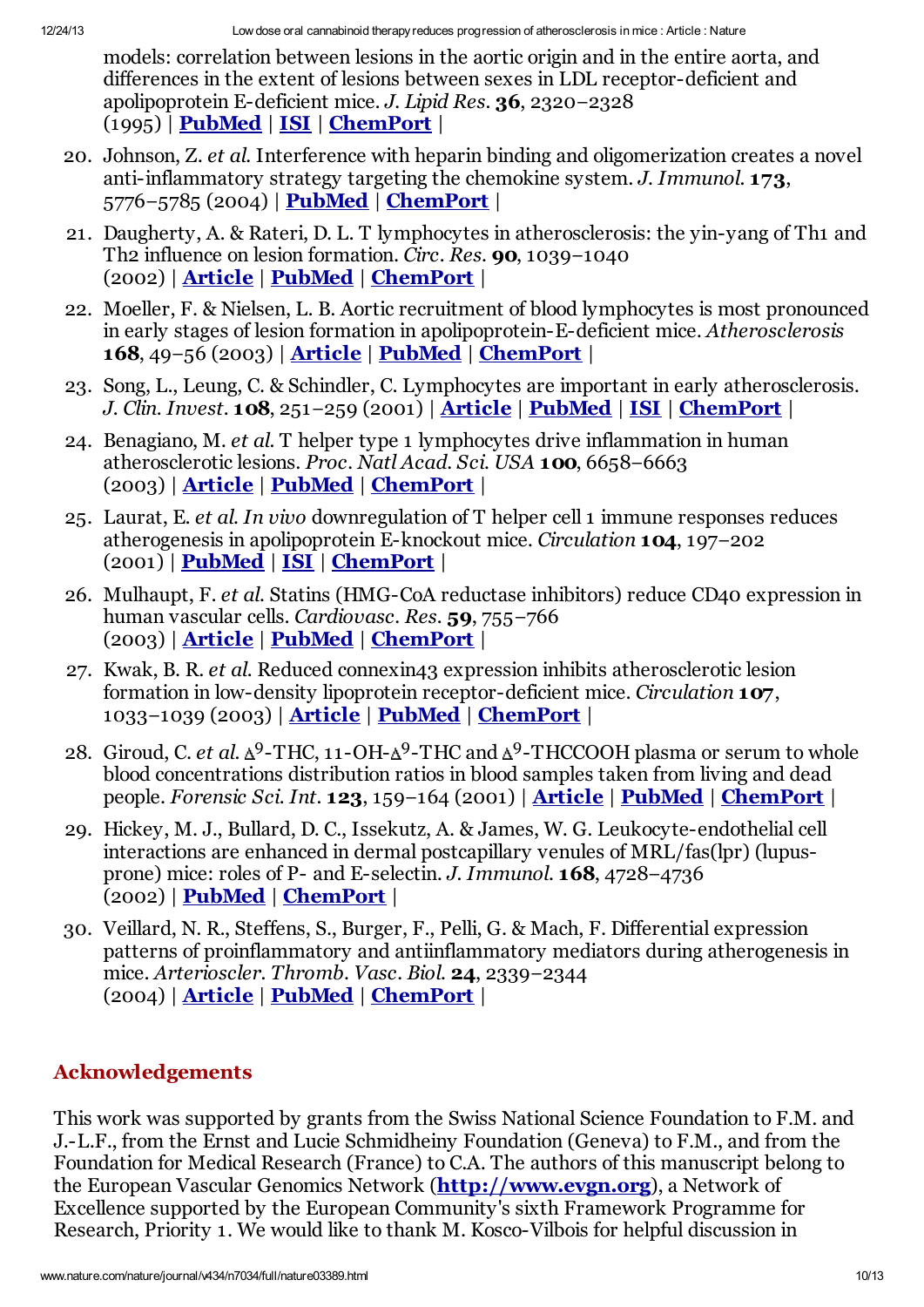models: correlation between lesions in the aortic origin and in the entire aorta, and differences in the extent of lesions between sexes in LDL receptor-deficient and apolipoprotein E-deficient mice. *J. Lipid Res.* 36, 2320−2328 (1995) | [PubMed](http://www.ncbi.nlm.nih.gov/entrez/query.fcgi?holding=npg&cmd=Retrieve&db=PubMed&list_uids=8656070&dopt=Abstract) | [ISI](http://links.isiglobalnet2.com/gateway/Gateway.cgi?&GWVersion=2&SrcAuth=Nature&SrcApp=Nature&DestLinkType=FullRecord&KeyUT=A1995TH82900006&DestApp=WOS_CPL) | [ChemPort](http://chemport.cas.org/cgi-bin/sdcgi?APP=ftslink&action=reflink&origin=npg&version=1.0&coi=1:CAS:528:DyaK2MXpslGit7w%3D&pissn=0028-0836&pyear=2005&md5=96b21cced1b8e3c43dfe61fd377662cf) |

- <span id="page-9-0"></span>20. Johnson, Z. *et al.* Interference with heparin binding and oligomerization creates a novel anti-inflammatory strategy targeting the chemokine system. *J. Immunol.* 173, 5776−5785 (2004) | [PubMed](http://www.ncbi.nlm.nih.gov/entrez/query.fcgi?holding=npg&cmd=Retrieve&db=PubMed&list_uids=15494530&dopt=Abstract) | [ChemPort](http://chemport.cas.org/cgi-bin/sdcgi?APP=ftslink&action=reflink&origin=npg&version=1.0&coi=1:CAS:528:DC%2BD2cXos1GhsLk%3D&pissn=0028-0836&pyear=2005&md5=1024202a2b2787768e2d50f54ab6f245) |
- <span id="page-9-1"></span>21. Daugherty, A. & Rateri, D. L. T lymphocytes in atherosclerosis: the yin-yang of Th1 and Th2 influence on lesion formation. *Circ. Res.* 90, 1039−1040 (2002) | [Article](http://dx.doi.org/10.1161%2F01.RES.0000021397.28936.F9) | [PubMed](http://www.ncbi.nlm.nih.gov/entrez/query.fcgi?holding=npg&cmd=Retrieve&db=PubMed&list_uids=12039791&dopt=Abstract) | [ChemPort](http://chemport.cas.org/cgi-bin/sdcgi?APP=ftslink&action=reflink&origin=npg&version=1.0&coi=1:CAS:528:DC%2BD38XktlSnsLg%3D&pissn=0028-0836&pyear=2005&md5=cd87454757c8bde9d1e70df7e5a0c9aa) |
- <span id="page-9-2"></span>22. Moeller, F. & Nielsen, L. B. Aortic recruitment of blood lymphocytes is most pronounced in early stages of lesion formation in apolipoprotein-E-deficient mice. *Atherosclerosis* 168, 49−56 (2003) | [Article](http://dx.doi.org/10.1016%2FS0021-9150%2803%2900026-1) | [PubMed](http://www.ncbi.nlm.nih.gov/entrez/query.fcgi?holding=npg&cmd=Retrieve&db=PubMed&list_uids=12732386&dopt=Abstract) | [ChemPort](http://chemport.cas.org/cgi-bin/sdcgi?APP=ftslink&action=reflink&origin=npg&version=1.0&coi=1:CAS:528:DC%2BD3sXjsVerur8%3D&pissn=0028-0836&pyear=2005&md5=328286d5137c3f27ebafe8000bec9eb0) |
- <span id="page-9-3"></span>23. Song, L., Leung, C. & Schindler, C. Lymphocytes are important in early atherosclerosis. *J. Clin. Invest.* 108, 251−259 (2001) | [Article](http://dx.doi.org/10.1172%2FJCI200111380) | [PubMed](http://www.ncbi.nlm.nih.gov/entrez/query.fcgi?holding=npg&cmd=Retrieve&db=PubMed&list_uids=11457878&dopt=Abstract) | [ISI](http://links.isiglobalnet2.com/gateway/Gateway.cgi?&GWVersion=2&SrcAuth=Nature&SrcApp=Nature&DestLinkType=FullRecord&KeyUT=000169871300013&DestApp=WOS_CPL) | [ChemPort](http://chemport.cas.org/cgi-bin/sdcgi?APP=ftslink&action=reflink&origin=npg&version=1.0&coi=1:CAS:528:DC%2BD3MXlt1Kltr8%3D&pissn=0028-0836&pyear=2005&md5=85d302312bf49723bc307cab81866553) |
- <span id="page-9-4"></span>24. Benagiano, M. *et al.* T helper type 1 lymphocytes drive inflammation in human atherosclerotic lesions. *Proc. Natl Acad. Sci. USA* 100, 6658−6663 (2003) | [Article](http://dx.doi.org/10.1073%2Fpnas.1135726100) | [PubMed](http://www.ncbi.nlm.nih.gov/entrez/query.fcgi?holding=npg&cmd=Retrieve&db=PubMed&list_uids=12740434&dopt=Abstract) | [ChemPort](http://chemport.cas.org/cgi-bin/sdcgi?APP=ftslink&action=reflink&origin=npg&version=1.0&coi=1:CAS:528:DC%2BD3sXktlygs7o%3D&pissn=0028-0836&pyear=2005&md5=71be1f0480e76492c0c6e62ed3b43590) |
- <span id="page-9-5"></span>25. Laurat, E. *et al. In vivo* downregulation of T helper cell 1 immune responses reduces atherogenesis in apolipoprotein E-knockout mice. *Circulation* 104, 197−202 (2001) | [PubMed](http://www.ncbi.nlm.nih.gov/entrez/query.fcgi?holding=npg&cmd=Retrieve&db=PubMed&list_uids=11447086&dopt=Abstract) | [ISI](http://links.isiglobalnet2.com/gateway/Gateway.cgi?&GWVersion=2&SrcAuth=Nature&SrcApp=Nature&DestLinkType=FullRecord&KeyUT=000169896600025&DestApp=WOS_CPL) | [ChemPort](http://chemport.cas.org/cgi-bin/sdcgi?APP=ftslink&action=reflink&origin=npg&version=1.0&coi=1:CAS:528:DC%2BD3MXlvVKrsLg%3D&pissn=0028-0836&pyear=2005&md5=152877ffc9031786a699640618896179) |
- <span id="page-9-6"></span>26. Mulhaupt, F. *et al.* Statins (HMG-CoA reductase inhibitors) reduce CD40 expression in human vascular cells. *Cardiovasc. Res.* 59, 755−766 (2003) | [Article](http://dx.doi.org/10.1016%2FS0008-6363%2803%2900515-7) | [PubMed](http://www.ncbi.nlm.nih.gov/entrez/query.fcgi?holding=npg&cmd=Retrieve&db=PubMed&list_uids=14499877&dopt=Abstract) | [ChemPort](http://chemport.cas.org/cgi-bin/sdcgi?APP=ftslink&action=reflink&origin=npg&version=1.0&coi=1:CAS:528:DC%2BD3sXnt1Gksrg%3D&pissn=0028-0836&pyear=2005&md5=2029deb76b060fb67c74b0e10e9743ed) |
- <span id="page-9-7"></span>27. Kwak, B. R. *et al.* Reduced connexin43 expression inhibits atherosclerotic lesion formation in low-density lipoprotein receptor-deficient mice. *Circulation* 107, 1033−1039 (2003) | [Article](http://dx.doi.org/10.1161%2F01.CIR.0000051364.70064.D1) | [PubMed](http://www.ncbi.nlm.nih.gov/entrez/query.fcgi?holding=npg&cmd=Retrieve&db=PubMed&list_uids=12600918&dopt=Abstract) | [ChemPort](http://chemport.cas.org/cgi-bin/sdcgi?APP=ftslink&action=reflink&origin=npg&version=1.0&coi=1:CAS:528:DC%2BD3sXjt1yjs70%3D&pissn=0028-0836&pyear=2005&md5=af4929b737b4f2a19a6395be3b9cfb15) |
- <span id="page-9-8"></span>28. Giroud, C. *et al.*  $\Delta^9$ -THC, 11-OH- $\Delta^9$ -THC and  $\Delta^9$ -THCCOOH plasma or serum to whole blood concentrations distribution ratios in blood samples taken from living and dead people. *Forensic Sci. Int.* 123, 159−164 (2001) | [Article](http://dx.doi.org/10.1016%2FS0379-0738%2801%2900538-2) | [PubMed](http://www.ncbi.nlm.nih.gov/entrez/query.fcgi?holding=npg&cmd=Retrieve&db=PubMed&list_uids=11728742&dopt=Abstract) | [ChemPort](http://chemport.cas.org/cgi-bin/sdcgi?APP=ftslink&action=reflink&origin=npg&version=1.0&coi=1:CAS:528:DC%2BD3MXos1Kjs7Y%3D&pissn=0028-0836&pyear=2005&md5=4e0d032436401c10c0b6d034db295c00) |
- <span id="page-9-9"></span>29. Hickey, M. J., Bullard, D. C., Issekutz, A. & James, W. G. Leukocyte-endothelial cell interactions are enhanced in dermal postcapillary venules of MRL/fas(lpr) (lupusprone) mice: roles of P- and E-selectin. *J. Immunol.* 168, 4728−4736 (2002) | [PubMed](http://www.ncbi.nlm.nih.gov/entrez/query.fcgi?holding=npg&cmd=Retrieve&db=PubMed&list_uids=11971023&dopt=Abstract) | [ChemPort](http://chemport.cas.org/cgi-bin/sdcgi?APP=ftslink&action=reflink&origin=npg&version=1.0&coi=1:CAS:528:DC%2BD38Xjt12jur8%3D&pissn=0028-0836&pyear=2005&md5=728642d765992206d3c03e9a9b223dc8) |
- <span id="page-9-10"></span>30. Veillard, N. R., Steffens, S., Burger, F., Pelli, G. & Mach, F. Differential expression patterns of proinflammatory and antiinflammatory mediators during atherogenesis in mice. *Arterioscler. Thromb. Vasc. Biol.* 24, 2339−2344 (2004) | [Article](http://dx.doi.org/10.1161%2F01.ATV.0000146532.98235.e6) | [PubMed](http://www.ncbi.nlm.nih.gov/entrez/query.fcgi?holding=npg&cmd=Retrieve&db=PubMed&list_uids=15458979&dopt=Abstract) | [ChemPort](http://chemport.cas.org/cgi-bin/sdcgi?APP=ftslink&action=reflink&origin=npg&version=1.0&coi=1:CAS:528:DC%2BD2cXhtVaisrrP&pissn=0028-0836&pyear=2005&md5=29edd691bbe3725f43cfba2030c6a459) |

# Acknowledgements

This work was supported by grants from the Swiss National Science Foundation to F.M. and J.-L.F., from the Ernst and Lucie Schmidheiny Foundation (Geneva) to F.M., and from the Foundation for Medical Research (France) to C.A. The authors of this manuscript belong to the European Vascular Genomics Network (**[http://www.evgn.org](http://www.evgn.org/)**), a Network of Excellence supported by the European Community's sixth Framework Programme for Research, Priority 1. We would like to thank M. Kosco-Vilbois for helpful discussion in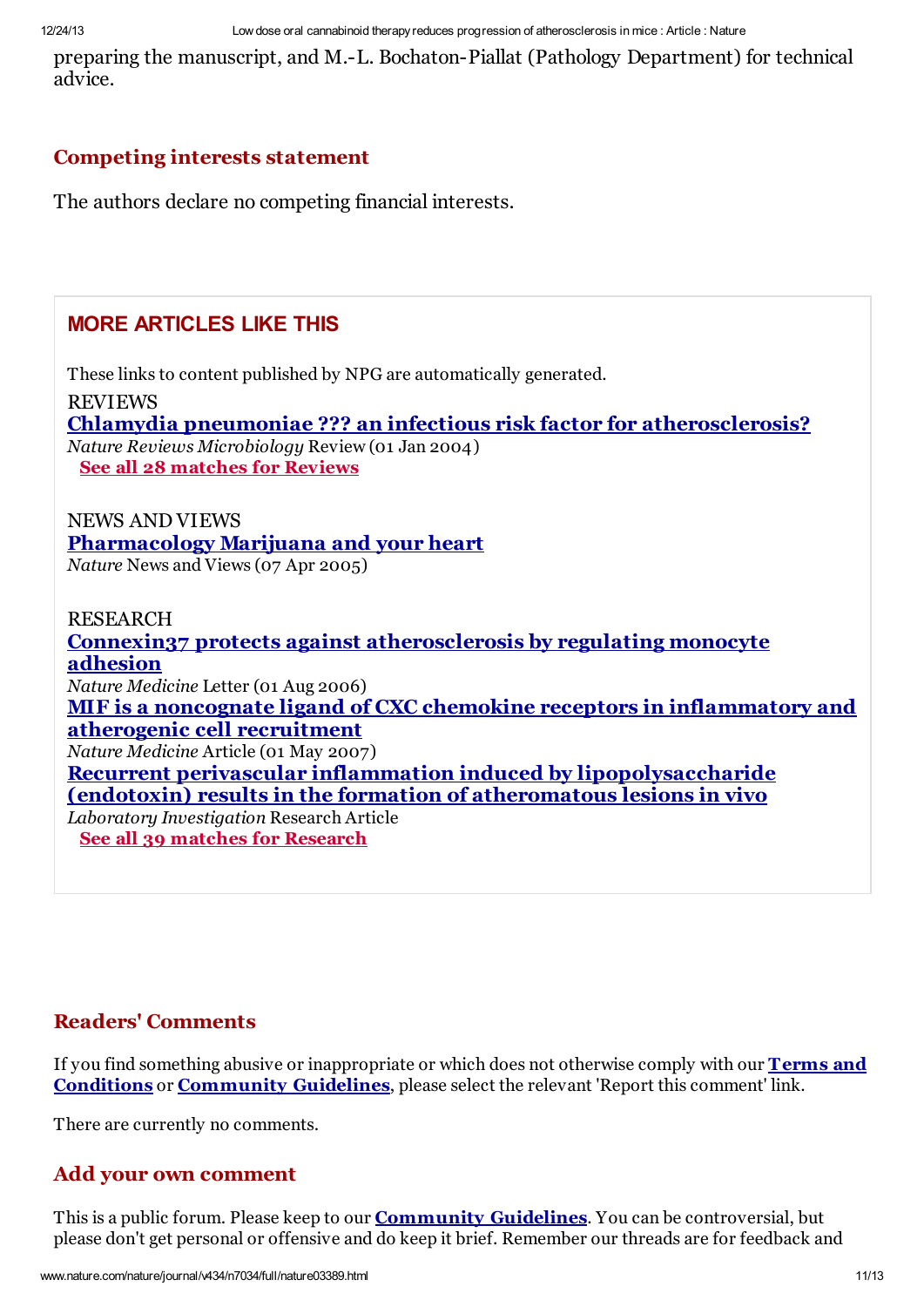preparing the manuscript, and M.-L. Bochaton-Piallat (Pathology Department) for technical advice.

#### Competing interests statement

The authors declare no competing financial interests.

# MORE ARTICLES LIKE THIS

These links to content published by NPG are automatically generated. REVIEWS Chlamydia pneumoniae ??? an infectious risk factor for [atherosclerosis?](http://www.nature.com/doifinder/10.1038/nrmicro796) *Nature Reviews Microbiology* Review (01 Jan 2004) See all 28 [matches](http://sherlock.nature.com/arls/Query?src_jrnl=Nature&src_pp=782-786&family=0&src_vol=434&query=http://xml.nature.com/nature/journal/v434/n7034/xml/nature03389.xml&src_date=2005&type=LT&src_title=Low%20dose%20oral%20cannabinoid%20therapy%20reduces%20progression%20of%20atherosclerosis%20in%20mice&prod=NATURE&showall=review) for Reviews

NEWS AND VIEWS [Pharmacology](http://www.nature.com/doifinder/10.1038/434708a) Marijuana and your heart *Nature* News and Views (07 Apr 2005)

**RESEARCH** 

Connexin37 protects against [atherosclerosis](http://www.nature.com/doifinder/10.1038/nm1441) by regulating monocyte adhesion *Nature Medicine* Letter (01 Aug 2006) MIF is a noncognate ligand of CXC chemokine receptors in [inflammatory](http://www.nature.com/doifinder/10.1038/nm1567) and atherogenic cell recruitment *Nature Medicine* Article (01 May 2007) Recurrent perivascular inflammation induced by [lipopolysaccharide](http://www.nature.com/doifinder/10.1038/labinvest.3700065) (endotoxin) results in the formation of atheromatous lesions in vivo *Laboratory Investigation* Research Article See all 39 matches for [Research](http://sherlock.nature.com/arls/Query?src_jrnl=Nature&src_pp=782-786&family=0&src_vol=434&query=http://xml.nature.com/nature/journal/v434/n7034/xml/nature03389.xml&src_date=2005&type=LT&src_title=Low%20dose%20oral%20cannabinoid%20therapy%20reduces%20progression%20of%20atherosclerosis%20in%20mice&prod=NATURE&showall=research)

#### Readers' Comments

If you find something abusive or inappropriate or which does not otherwise comply with our **Terms and** Conditions or [Community](http://www.nature.com/info/tandc.html) Guidelines, please select the relevant 'Report this comment' link.

There are currently no comments.

#### Add your own comment

This is a public forum. Please keep to our **[Community](http://www.nature.com/info/community-guidelines.html) Guidelines**. You can be controversial, but please don't get personal or offensive and do keep it brief. Remember our threads are for feedback and